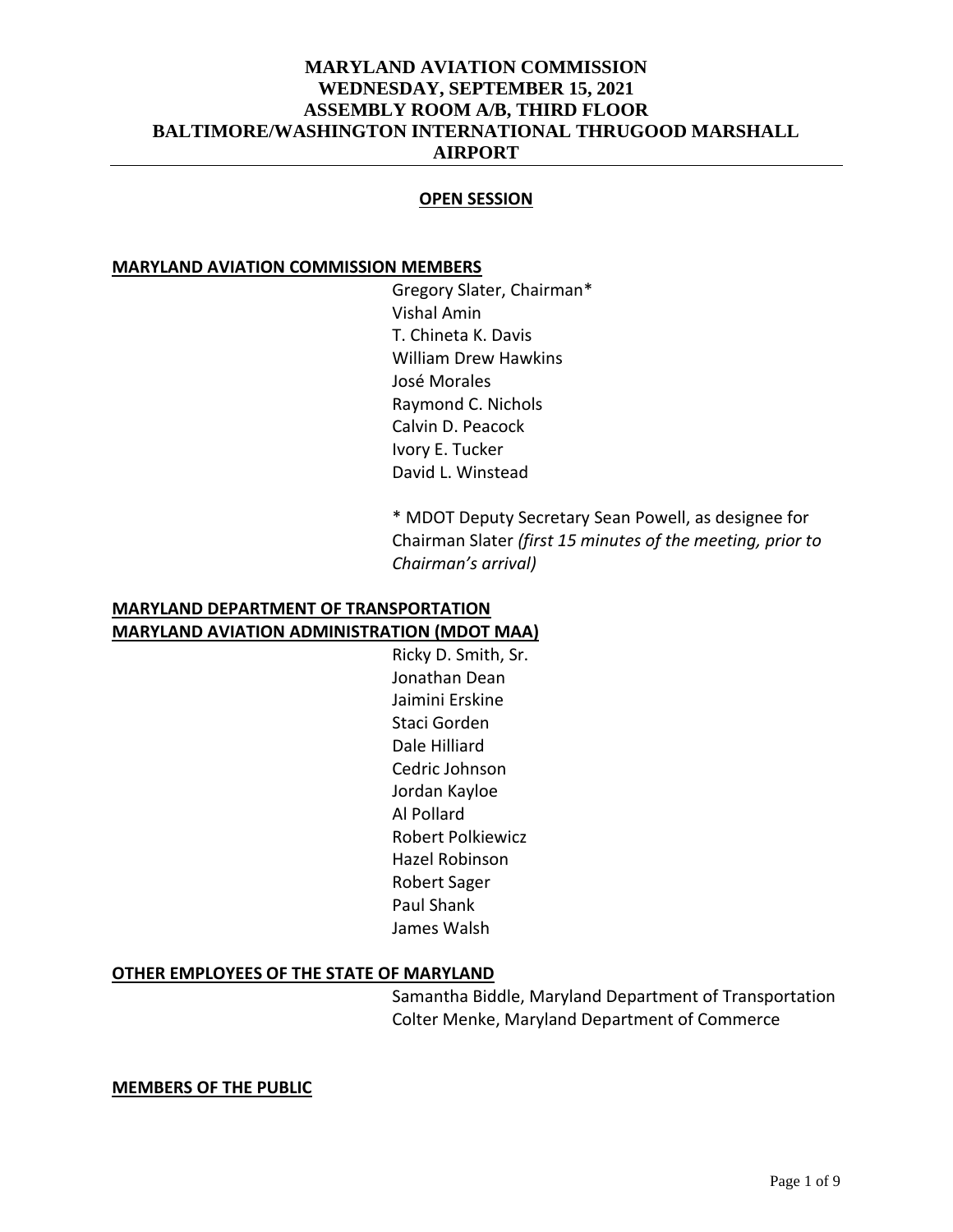### **OPEN SESSION**

### **MARYLAND AVIATION COMMISSION MEMBERS**

Gregory Slater, Chairman\* Vishal Amin T. Chineta K. Davis William Drew Hawkins José Morales Raymond C. Nichols Calvin D. Peacock Ivory E. Tucker David L. Winstead

\* MDOT Deputy Secretary Sean Powell, as designee for Chairman Slater *(first 15 minutes of the meeting, prior to Chairman's arrival)*

### **MARYLAND DEPARTMENT OF TRANSPORTATION MARYLAND AVIATION ADMINISTRATION (MDOT MAA)**

Ricky D. Smith, Sr. Jonathan Dean Jaimini Erskine Staci Gorden Dale Hilliard Cedric Johnson Jordan Kayloe Al Pollard Robert Polkiewicz Hazel Robinson Robert Sager Paul Shank James Walsh

#### **OTHER EMPLOYEES OF THE STATE OF MARYLAND**

Samantha Biddle, Maryland Department of Transportation Colter Menke, Maryland Department of Commerce

**MEMBERS OF THE PUBLIC**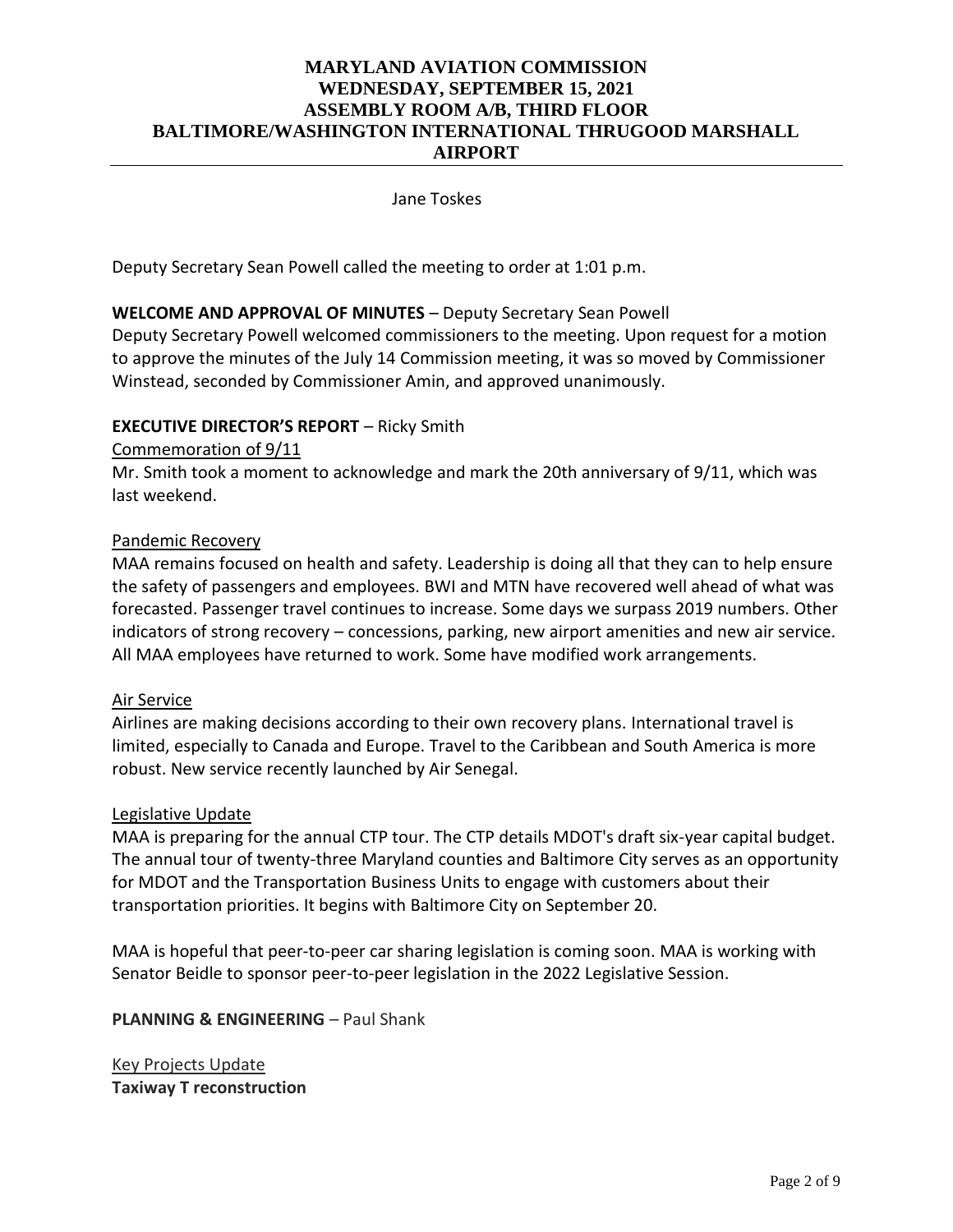Jane Toskes

Deputy Secretary Sean Powell called the meeting to order at 1:01 p.m.

### **WELCOME AND APPROVAL OF MINUTES** – Deputy Secretary Sean Powell

Deputy Secretary Powell welcomed commissioners to the meeting. Upon request for a motion to approve the minutes of the July 14 Commission meeting, it was so moved by Commissioner Winstead, seconded by Commissioner Amin, and approved unanimously.

### **EXECUTIVE DIRECTOR'S REPORT** – Ricky Smith

### Commemoration of 9/11

Mr. Smith took a moment to acknowledge and mark the 20th anniversary of 9/11, which was last weekend.

### Pandemic Recovery

MAA remains focused on health and safety. Leadership is doing all that they can to help ensure the safety of passengers and employees. BWI and MTN have recovered well ahead of what was forecasted. Passenger travel continues to increase. Some days we surpass 2019 numbers. Other indicators of strong recovery – concessions, parking, new airport amenities and new air service. All MAA employees have returned to work. Some have modified work arrangements.

#### Air Service

Airlines are making decisions according to their own recovery plans. International travel is limited, especially to Canada and Europe. Travel to the Caribbean and South America is more robust. New service recently launched by Air Senegal.

#### Legislative Update

MAA is preparing for the annual CTP tour. The CTP details MDOT's draft six-year capital budget. The annual tour of twenty-three Maryland counties and Baltimore City serves as an opportunity for MDOT and the Transportation Business Units to engage with customers about their transportation priorities. It begins with Baltimore City on September 20.

MAA is hopeful that peer-to-peer car sharing legislation is coming soon. MAA is working with Senator Beidle to sponsor peer-to-peer legislation in the 2022 Legislative Session.

**PLANNING & ENGINEERING - Paul Shank** 

Key Projects Update **Taxiway T reconstruction**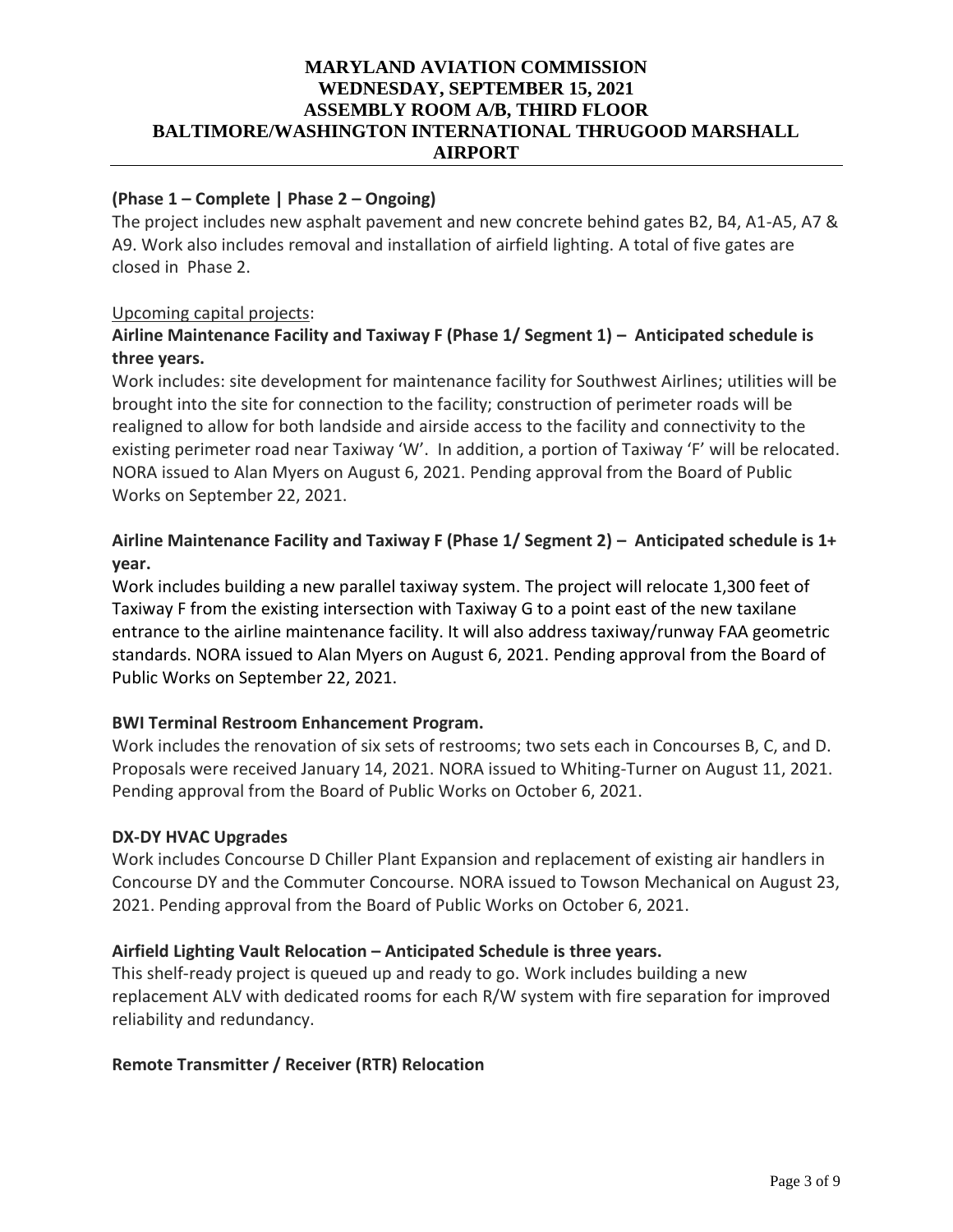## **(Phase 1 – Complete | Phase 2 – Ongoing)**

The project includes new asphalt pavement and new concrete behind gates B2, B4, A1-A5, A7 & A9. Work also includes removal and installation of airfield lighting. A total of five gates are closed in Phase 2.

### Upcoming capital projects:

# **Airline Maintenance Facility and Taxiway F (Phase 1/ Segment 1) – Anticipated schedule is three years.**

Work includes: site development for maintenance facility for Southwest Airlines; utilities will be brought into the site for connection to the facility; construction of perimeter roads will be realigned to allow for both landside and airside access to the facility and connectivity to the existing perimeter road near Taxiway 'W'. In addition, a portion of Taxiway 'F' will be relocated. NORA issued to Alan Myers on August 6, 2021. Pending approval from the Board of Public Works on September 22, 2021.

# **Airline Maintenance Facility and Taxiway F (Phase 1/ Segment 2) – Anticipated schedule is 1+ year.**

Work includes building a new parallel taxiway system. The project will relocate 1,300 feet of Taxiway F from the existing intersection with Taxiway G to a point east of the new taxilane entrance to the airline maintenance facility. It will also address taxiway/runway FAA geometric standards. NORA issued to Alan Myers on August 6, 2021. Pending approval from the Board of Public Works on September 22, 2021.

### **BWI Terminal Restroom Enhancement Program.**

Work includes the renovation of six sets of restrooms; two sets each in Concourses B, C, and D. Proposals were received January 14, 2021. NORA issued to Whiting-Turner on August 11, 2021. Pending approval from the Board of Public Works on October 6, 2021.

### **DX-DY HVAC Upgrades**

Work includes Concourse D Chiller Plant Expansion and replacement of existing air handlers in Concourse DY and the Commuter Concourse. NORA issued to Towson Mechanical on August 23, 2021. Pending approval from the Board of Public Works on October 6, 2021.

### **Airfield Lighting Vault Relocation – Anticipated Schedule is three years.**

This shelf-ready project is queued up and ready to go. Work includes building a new replacement ALV with dedicated rooms for each R/W system with fire separation for improved reliability and redundancy.

### **Remote Transmitter / Receiver (RTR) Relocation**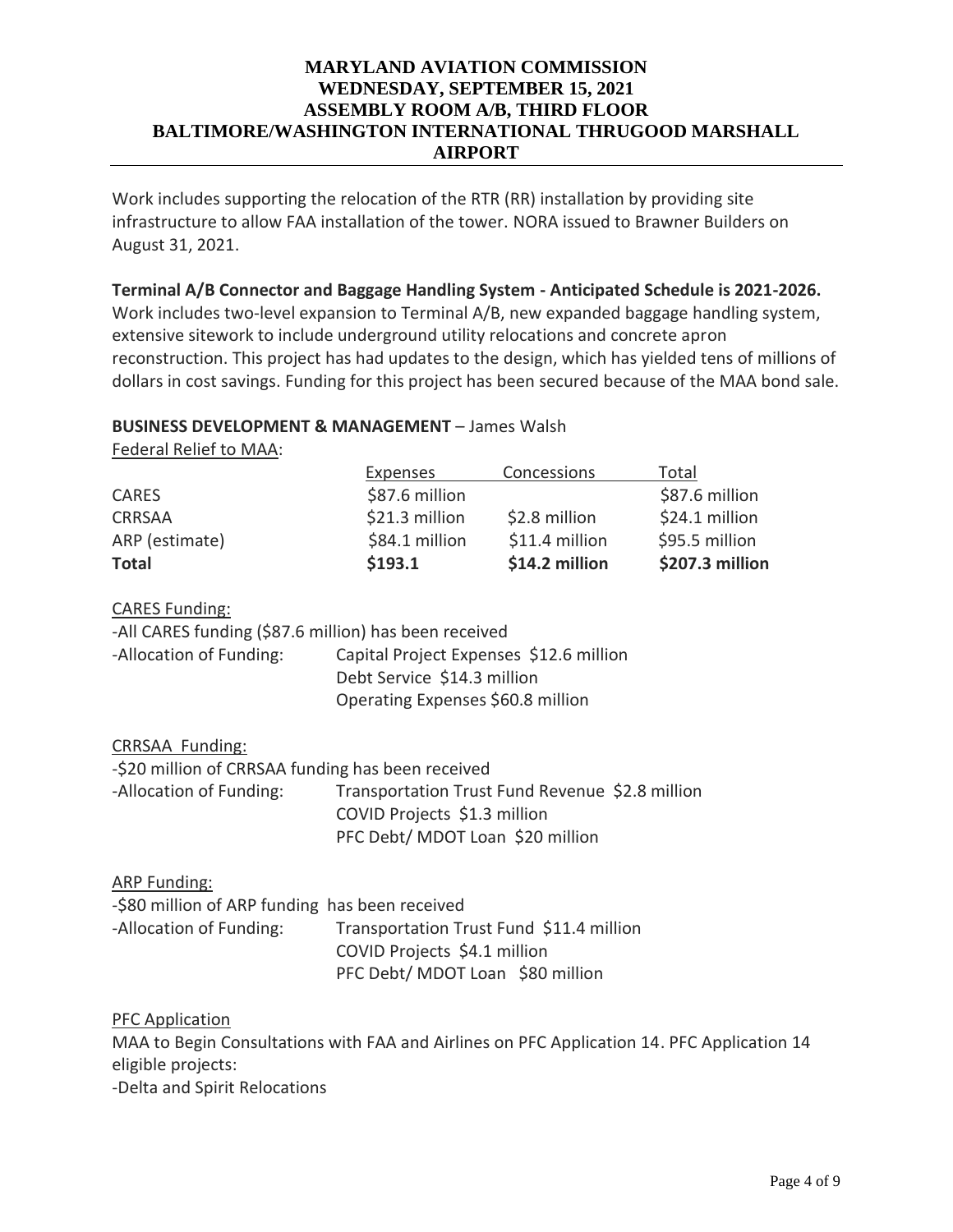Work includes supporting the relocation of the RTR (RR) installation by providing site infrastructure to allow FAA installation of the tower. NORA issued to Brawner Builders on August 31, 2021.

### **Terminal A/B Connector and Baggage Handling System - Anticipated Schedule is 2021-2026.**

Work includes two-level expansion to Terminal A/B, new expanded baggage handling system, extensive sitework to include underground utility relocations and concrete apron reconstruction. This project has had updates to the design, which has yielded tens of millions of dollars in cost savings. Funding for this project has been secured because of the MAA bond sale.

#### **BUSINESS DEVELOPMENT & MANAGEMENT** – James Walsh

Federal Relief to MAA:

| Total           |
|-----------------|
| \$87.6 million  |
| \$24.1 million  |
| \$95.5 million  |
| \$207.3 million |
|                 |

#### CARES Funding:

|                         | -All CARES funding (\$87.6 million) has been received |
|-------------------------|-------------------------------------------------------|
| -Allocation of Funding: | Capital Project Expenses \$12.6 million               |
|                         | Debt Service \$14.3 million                           |
|                         | Operating Expenses \$60.8 million                     |

CRRSAA Funding:

| -\$20 million of CRRSAA funding has been received |                                                 |  |
|---------------------------------------------------|-------------------------------------------------|--|
| -Allocation of Funding:                           | Transportation Trust Fund Revenue \$2.8 million |  |
|                                                   | COVID Projects \$1.3 million                    |  |
|                                                   | PFC Debt/ MDOT Loan \$20 million                |  |

ARP Funding:

| -\$80 million of ARP funding has been received |                                          |  |
|------------------------------------------------|------------------------------------------|--|
| -Allocation of Funding:                        | Transportation Trust Fund \$11.4 million |  |
|                                                | COVID Projects \$4.1 million             |  |
|                                                | PFC Debt/ MDOT Loan \$80 million         |  |

PFC Application

MAA to Begin Consultations with FAA and Airlines on PFC Application 14. PFC Application 14 eligible projects:

-Delta and Spirit Relocations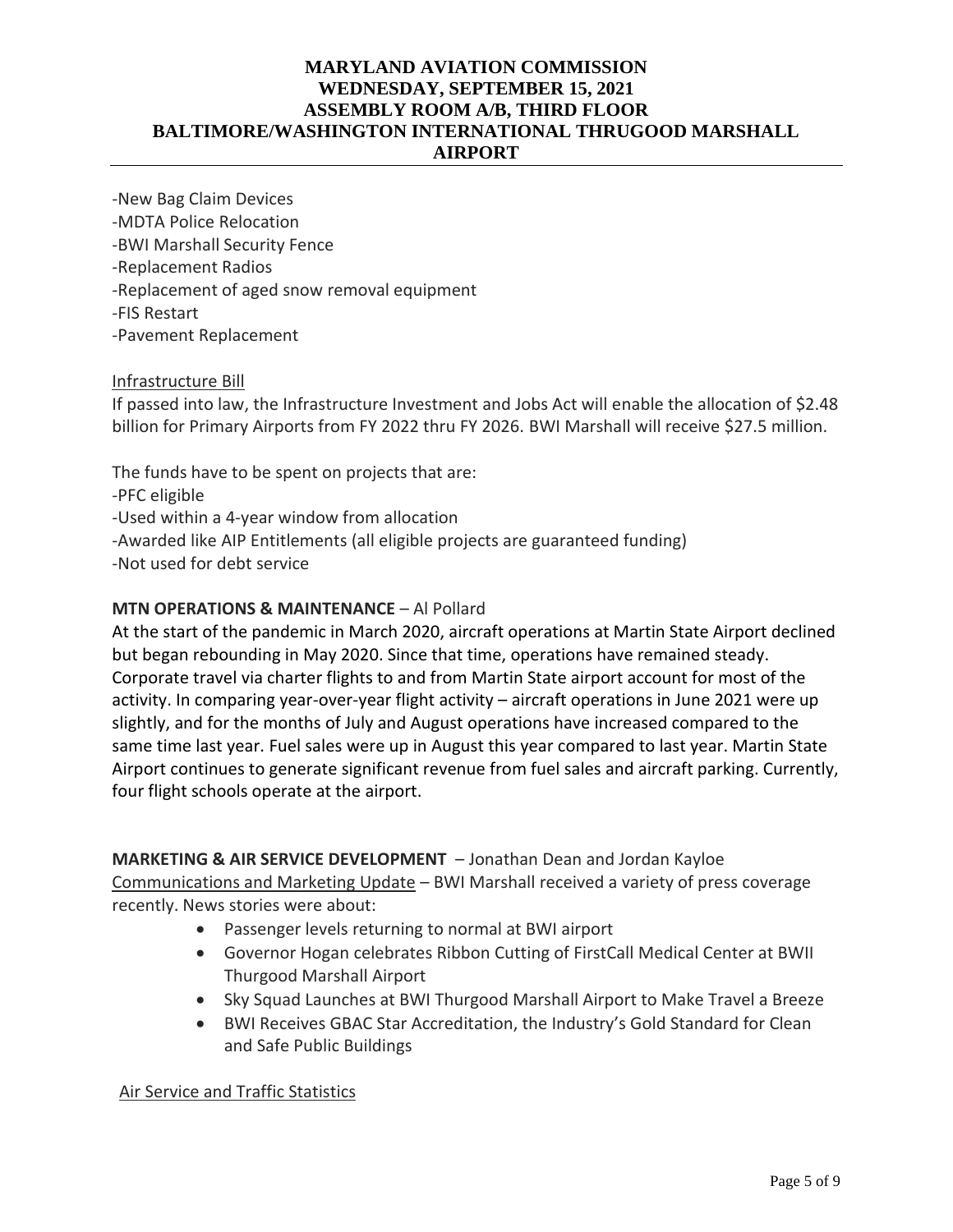-New Bag Claim Devices -MDTA Police Relocation -BWI Marshall Security Fence -Replacement Radios -Replacement of aged snow removal equipment -FIS Restart -Pavement Replacement

## Infrastructure Bill

If passed into law, the Infrastructure Investment and Jobs Act will enable the allocation of \$2.48 billion for Primary Airports from FY 2022 thru FY 2026. BWI Marshall will receive \$27.5 million.

The funds have to be spent on projects that are: -PFC eligible -Used within a 4-year window from allocation -Awarded like AIP Entitlements (all eligible projects are guaranteed funding) -Not used for debt service

## **MTN OPERATIONS & MAINTENANCE** – Al Pollard

At the start of the pandemic in March 2020, aircraft operations at Martin State Airport declined but began rebounding in May 2020. Since that time, operations have remained steady. Corporate travel via charter flights to and from Martin State airport account for most of the activity. In comparing year-over-year flight activity – aircraft operations in June 2021 were up slightly, and for the months of July and August operations have increased compared to the same time last year. Fuel sales were up in August this year compared to last year. Martin State Airport continues to generate significant revenue from fuel sales and aircraft parking. Currently, four flight schools operate at the airport.

### **MARKETING & AIR SERVICE DEVELOPMENT** – Jonathan Dean and Jordan Kayloe

Communications and Marketing Update – BWI Marshall received a variety of press coverage recently. News stories were about:

- Passenger levels returning to normal at BWI airport
- Governor Hogan celebrates Ribbon Cutting of FirstCall Medical Center at BWII Thurgood Marshall Airport
- Sky Squad Launches at BWI Thurgood Marshall Airport to Make Travel a Breeze
- BWI Receives GBAC Star Accreditation, the Industry's Gold Standard for Clean and Safe Public Buildings

Air Service and Traffic Statistics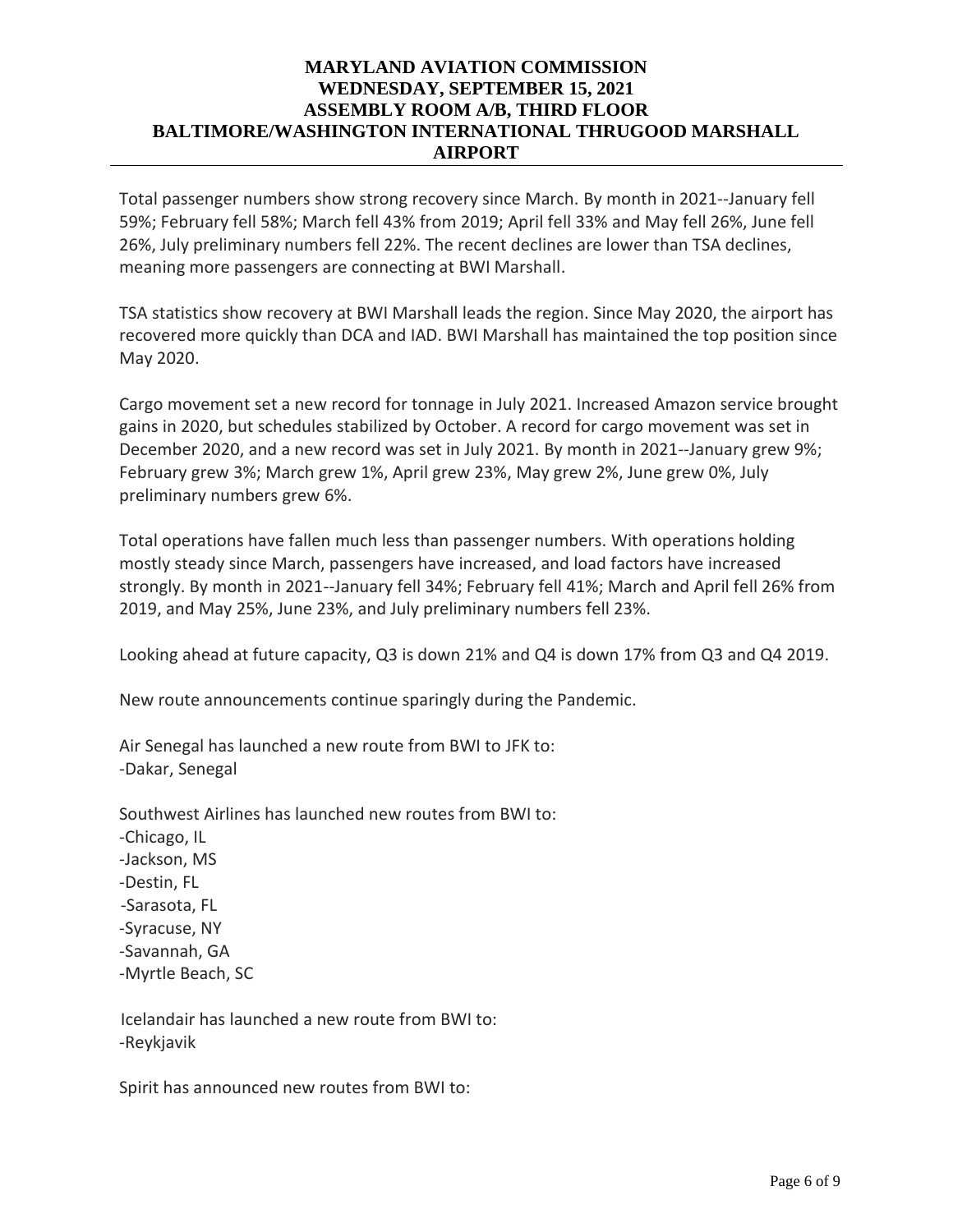Total passenger numbers show strong recovery since March. By month in 2021--January fell 59%; February fell 58%; March fell 43% from 2019; April fell 33% and May fell 26%, June fell 26%, July preliminary numbers fell 22%. The recent declines are lower than TSA declines, meaning more passengers are connecting at BWI Marshall.

TSA statistics show recovery at BWI Marshall leads the region. Since May 2020, the airport has recovered more quickly than DCA and IAD. BWI Marshall has maintained the top position since May 2020.

Cargo movement set a new record for tonnage in July 2021. Increased Amazon service brought gains in 2020, but schedules stabilized by October. A record for cargo movement was set in December 2020, and a new record was set in July 2021. By month in 2021--January grew 9%; February grew 3%; March grew 1%, April grew 23%, May grew 2%, June grew 0%, July preliminary numbers grew 6%.

Total operations have fallen much less than passenger numbers. With operations holding mostly steady since March, passengers have increased, and load factors have increased strongly. By month in 2021--January fell 34%; February fell 41%; March and April fell 26% from 2019, and May 25%, June 23%, and July preliminary numbers fell 23%.

Looking ahead at future capacity, Q3 is down 21% and Q4 is down 17% from Q3 and Q4 2019.

New route announcements continue sparingly during the Pandemic.

Air Senegal has launched a new route from BWI to JFK to: -Dakar, Senegal

Southwest Airlines has launched new routes from BWI to: -Chicago, IL -Jackson, MS -Destin, FL -Sarasota, FL -Syracuse, NY -Savannah, GA -Myrtle Beach, SC

 Icelandair has launched a new route from BWI to: -Reykjavik

Spirit has announced new routes from BWI to: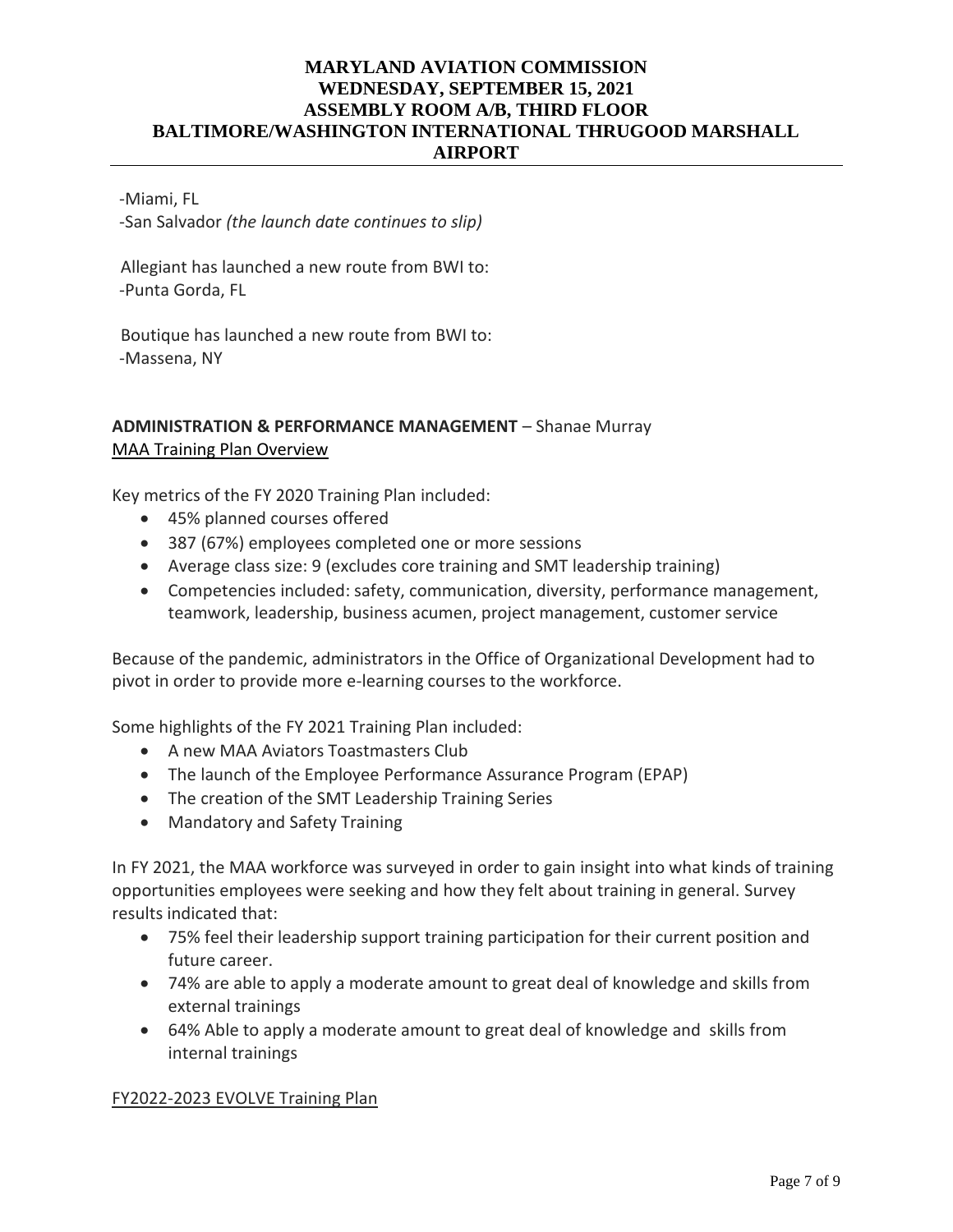#### -Miami, FL

-San Salvador *(the launch date continues to slip)*

 Allegiant has launched a new route from BWI to: -Punta Gorda, FL

 Boutique has launched a new route from BWI to: -Massena, NY

## **ADMINISTRATION & PERFORMANCE MANAGEMENT** – Shanae Murray MAA Training Plan Overview

Key metrics of the FY 2020 Training Plan included:

- 45% planned courses offered
- 387 (67%) employees completed one or more sessions
- Average class size: 9 (excludes core training and SMT leadership training)
- Competencies included: safety, communication, diversity, performance management, teamwork, leadership, business acumen, project management, customer service

Because of the pandemic, administrators in the Office of Organizational Development had to pivot in order to provide more e-learning courses to the workforce.

Some highlights of the FY 2021 Training Plan included:

- A new MAA Aviators Toastmasters Club
- The launch of the Employee Performance Assurance Program (EPAP)
- The creation of the SMT Leadership Training Series
- Mandatory and Safety Training

In FY 2021, the MAA workforce was surveyed in order to gain insight into what kinds of training opportunities employees were seeking and how they felt about training in general. Survey results indicated that:

- 75% feel their leadership support training participation for their current position and future career.
- 74% are able to apply a moderate amount to great deal of knowledge and skills from external trainings
- 64% Able to apply a moderate amount to great deal of knowledge and skills from internal trainings

#### FY2022-2023 EVOLVE Training Plan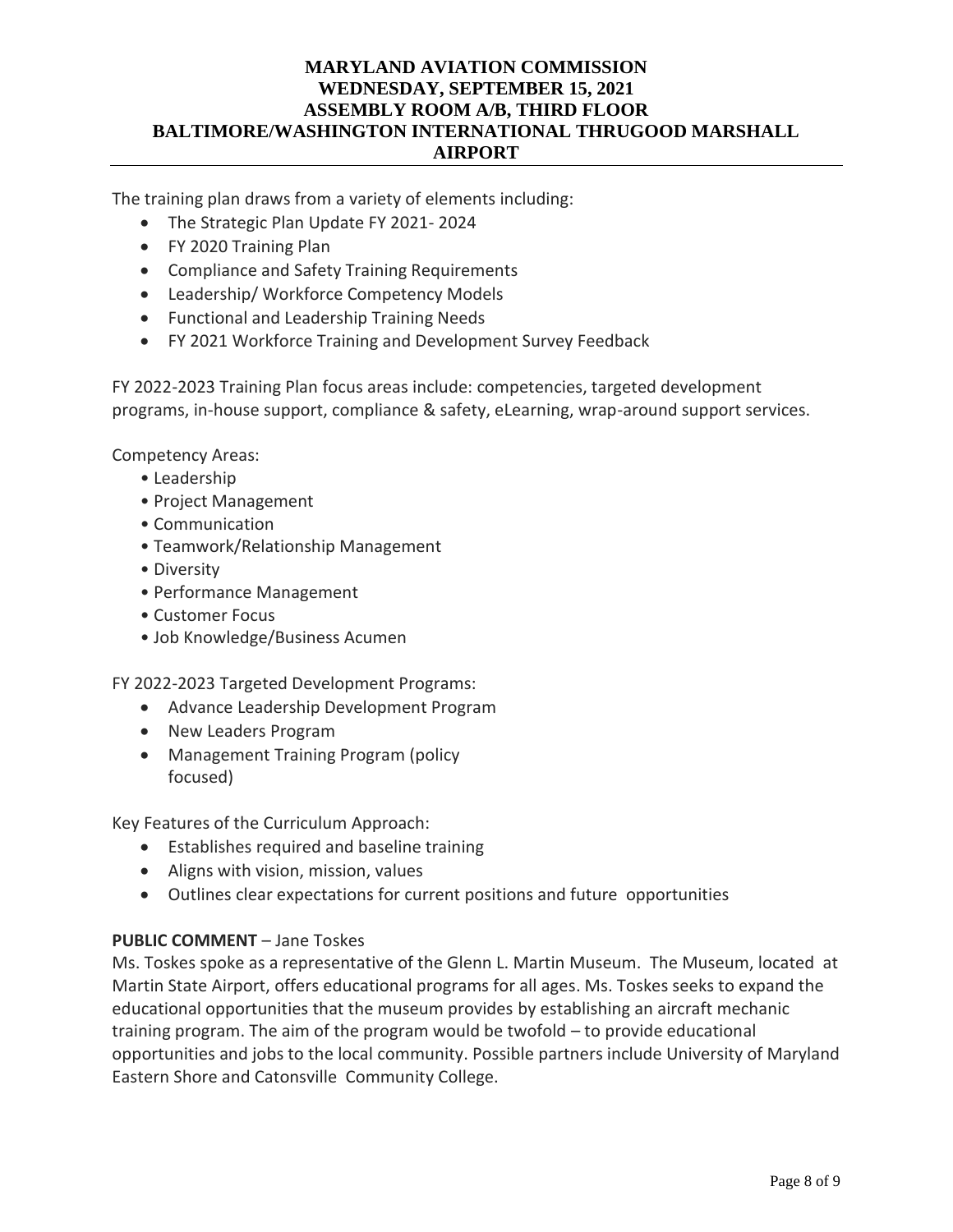The training plan draws from a variety of elements including:

- The Strategic Plan Update FY 2021- 2024
- FY 2020 Training Plan
- Compliance and Safety Training Requirements
- Leadership/ Workforce Competency Models
- Functional and Leadership Training Needs
- FY 2021 Workforce Training and Development Survey Feedback

FY 2022-2023 Training Plan focus areas include: competencies, targeted development programs, in-house support, compliance & safety, eLearning, wrap-around support services.

Competency Areas:

- Leadership
- Project Management
- Communication
- Teamwork/Relationship Management
- Diversity
- Performance Management
- Customer Focus
- Job Knowledge/Business Acumen

FY 2022-2023 Targeted Development Programs:

- Advance Leadership Development Program
- New Leaders Program
- Management Training Program (policy focused)

Key Features of the Curriculum Approach:

- Establishes required and baseline training
- Aligns with vision, mission, values
- Outlines clear expectations for current positions and future opportunities

### **PUBLIC COMMENT** – Jane Toskes

Ms. Toskes spoke as a representative of the Glenn L. Martin Museum. The Museum, located at Martin State Airport, offers educational programs for all ages. Ms. Toskes seeks to expand the educational opportunities that the museum provides by establishing an aircraft mechanic training program. The aim of the program would be twofold – to provide educational opportunities and jobs to the local community. Possible partners include University of Maryland Eastern Shore and Catonsville Community College.